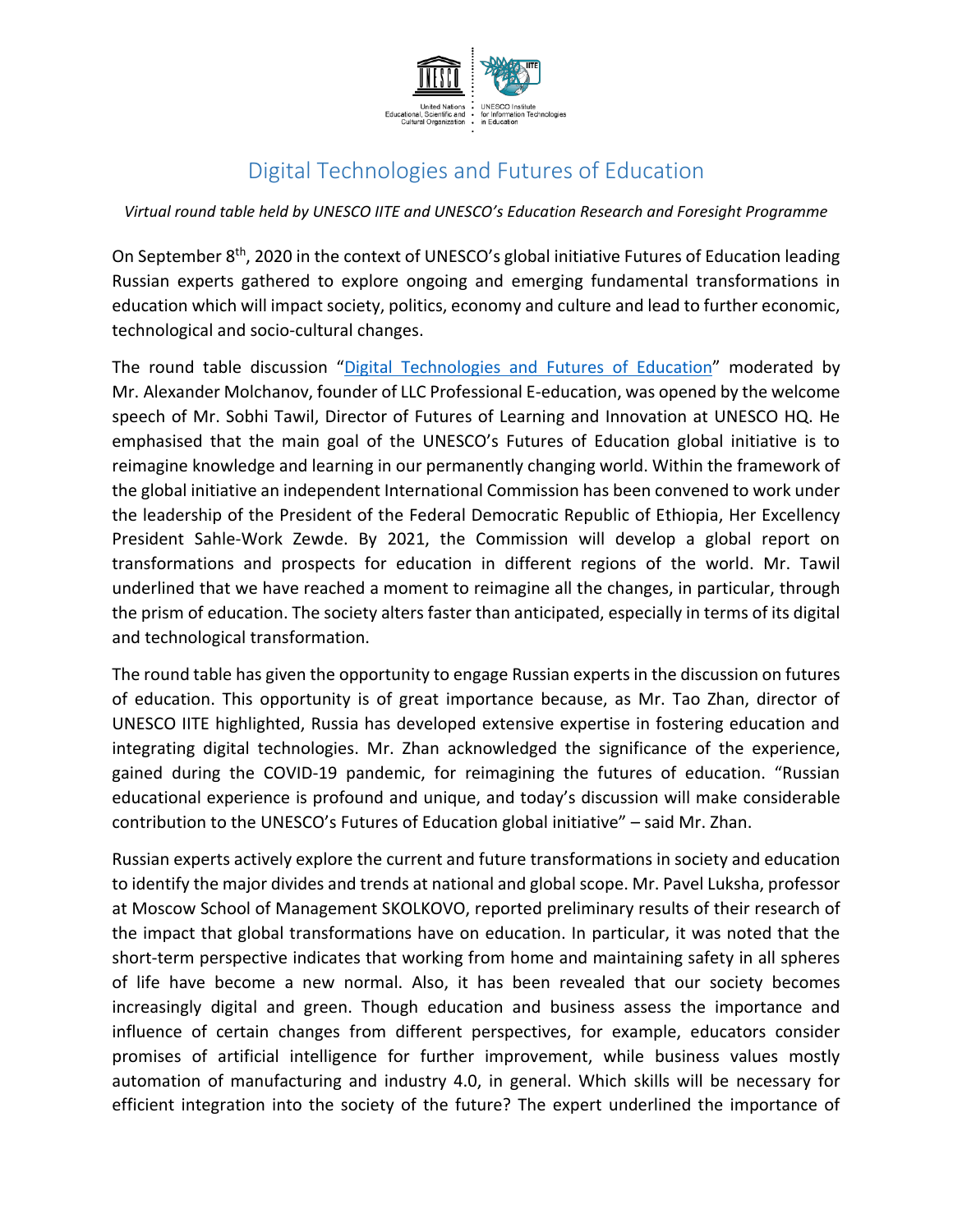

## Digital Technologies and Futures of Education

*Virtual round table held by UNESCO IITE and UNESCO's Education Research and Foresight Programme*

On September 8<sup>th</sup>, 2020 in the context of UNESCO's global initiative Futures of Education leading Russian experts gathered to explore ongoing and emerging fundamental transformations in education which will impact society, politics, economy and culture and lead to further economic, technological and socio-cultural changes.

The round table discussion "[Digital Technologies and Futures](https://iite.unesco.org/news/technologies-and-constructing-long-term-futures-of-education-virtual-round-table-in-russian/) of Education" moderated by Mr. Alexander Molchanov, founder of LLC Professional E-education, was opened by the welcome speech of Mr. Sobhi Tawil, Director of Futures of Learning and Innovation at UNESCO HQ. He emphasised that the main goal of the UNESCO's Futures of Education global initiative is to reimagine knowledge and learning in our permanently changing world. Within the framework of the global initiative an independent International Commission has been convened to work under the leadership of the President of the Federal Democratic Republic of Ethiopia, Her Excellency President Sahle-Work Zewde. By 2021, the Commission will develop a global report on transformations and prospects for education in different regions of the world. Mr. Tawil underlined that we have reached a moment to reimagine all the changes, in particular, through the prism of education. The society alters faster than anticipated, especially in terms of its digital and technological transformation.

The round table has given the opportunity to engage Russian experts in the discussion on futures of education. This opportunity is of great importance because, as Mr. Tao Zhan, director of UNESCO IITE highlighted, Russia has developed extensive expertise in fostering education and integrating digital technologies. Mr. Zhan acknowledged the significance of the experience, gained during the COVID-19 pandemic, for reimagining the futures of education. "Russian educational experience is profound and unique, and today's discussion will make considerable contribution to the UNESCO's Futures of Education global initiative" – said Mr. Zhan.

Russian experts actively explore the current and future transformations in society and education to identify the major divides and trends at national and global scope. Mr. Pavel Luksha, professor at Moscow School of Management SKOLKOVO, reported preliminary results of their research of the impact that global transformations have on education. In particular, it was noted that the short-term perspective indicates that working from home and maintaining safety in all spheres of life have become a new normal. Also, it has been revealed that our society becomes increasingly digital and green. Though education and business assess the importance and influence of certain changes from different perspectives, for example, educators consider promises of artificial intelligence for further improvement, while business values mostly automation of manufacturing and industry 4.0, in general. Which skills will be necessary for efficient integration into the society of the future? The expert underlined the importance of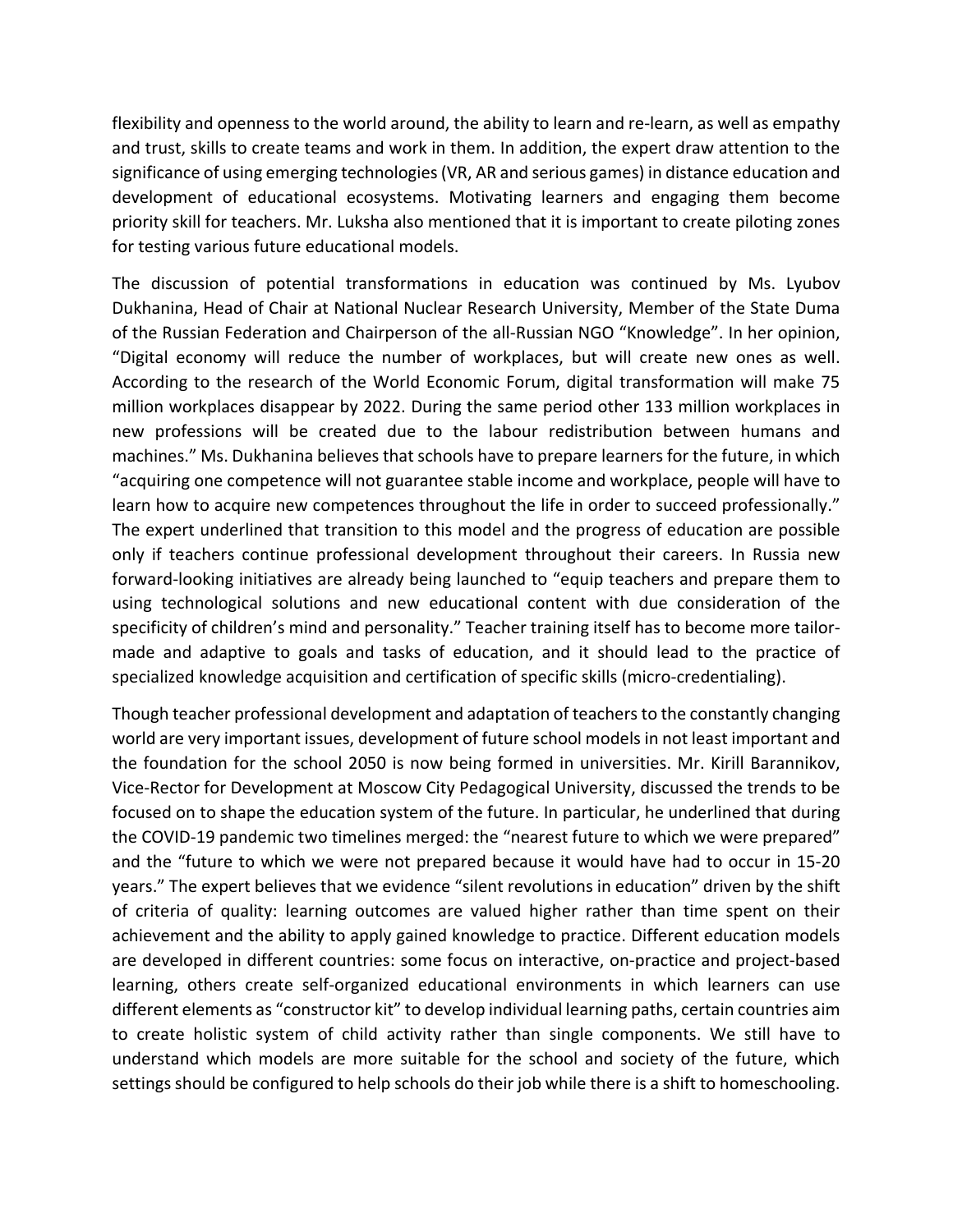flexibility and openness to the world around, the ability to learn and re-learn, as well as empathy and trust, skills to create teams and work in them. In addition, the expert draw attention to the significance of using emerging technologies(VR, AR and serious games) in distance education and development of educational ecosystems. Motivating learners and engaging them become priority skill for teachers. Mr. Luksha also mentioned that it is important to create piloting zones for testing various future educational models.

The discussion of potential transformations in education was continued by Ms. Lyubov Dukhanina, Head of Chair at National Nuclear Research University, Member of the State Duma of the Russian Federation and Chairperson of the all-Russian NGO "Knowledge". In her opinion, "Digital economy will reduce the number of workplaces, but will create new ones as well. According to the research of the World Economic Forum, digital transformation will make 75 million workplaces disappear by 2022. During the same period other 133 million workplaces in new professions will be created due to the labour redistribution between humans and machines." Ms. Dukhanina believes that schools have to prepare learners for the future, in which "acquiring one competence will not guarantee stable income and workplace, people will have to learn how to acquire new competences throughout the life in order to succeed professionally." The expert underlined that transition to this model and the progress of education are possible only if teachers continue professional development throughout their careers. In Russia new forward-looking initiatives are already being launched to "equip teachers and prepare them to using technological solutions and new educational content with due consideration of the specificity of children's mind and personality." Teacher training itself has to become more tailormade and adaptive to goals and tasks of education, and it should lead to the practice of specialized knowledge acquisition and certification of specific skills (micro-credentialing).

Though teacher professional development and adaptation of teachers to the constantly changing world are very important issues, development of future school models in not least important and the foundation for the school 2050 is now being formed in universities. Mr. Kirill Barannikov, Vice-Rector for Development at Moscow City Pedagogical University, discussed the trends to be focused on to shape the education system of the future. In particular, he underlined that during the COVID-19 pandemic two timelines merged: the "nearest future to which we were prepared" and the "future to which we were not prepared because it would have had to occur in 15-20 years." The expert believes that we evidence "silent revolutions in education" driven by the shift of criteria of quality: learning outcomes are valued higher rather than time spent on their achievement and the ability to apply gained knowledge to practice. Different education models are developed in different countries: some focus on interactive, on-practice and project-based learning, others create self-organized educational environments in which learners can use different elements as "constructor kit" to develop individual learning paths, certain countries aim to create holistic system of child activity rather than single components. We still have to understand which models are more suitable for the school and society of the future, which settings should be configured to help schools do their job while there is a shift to homeschooling.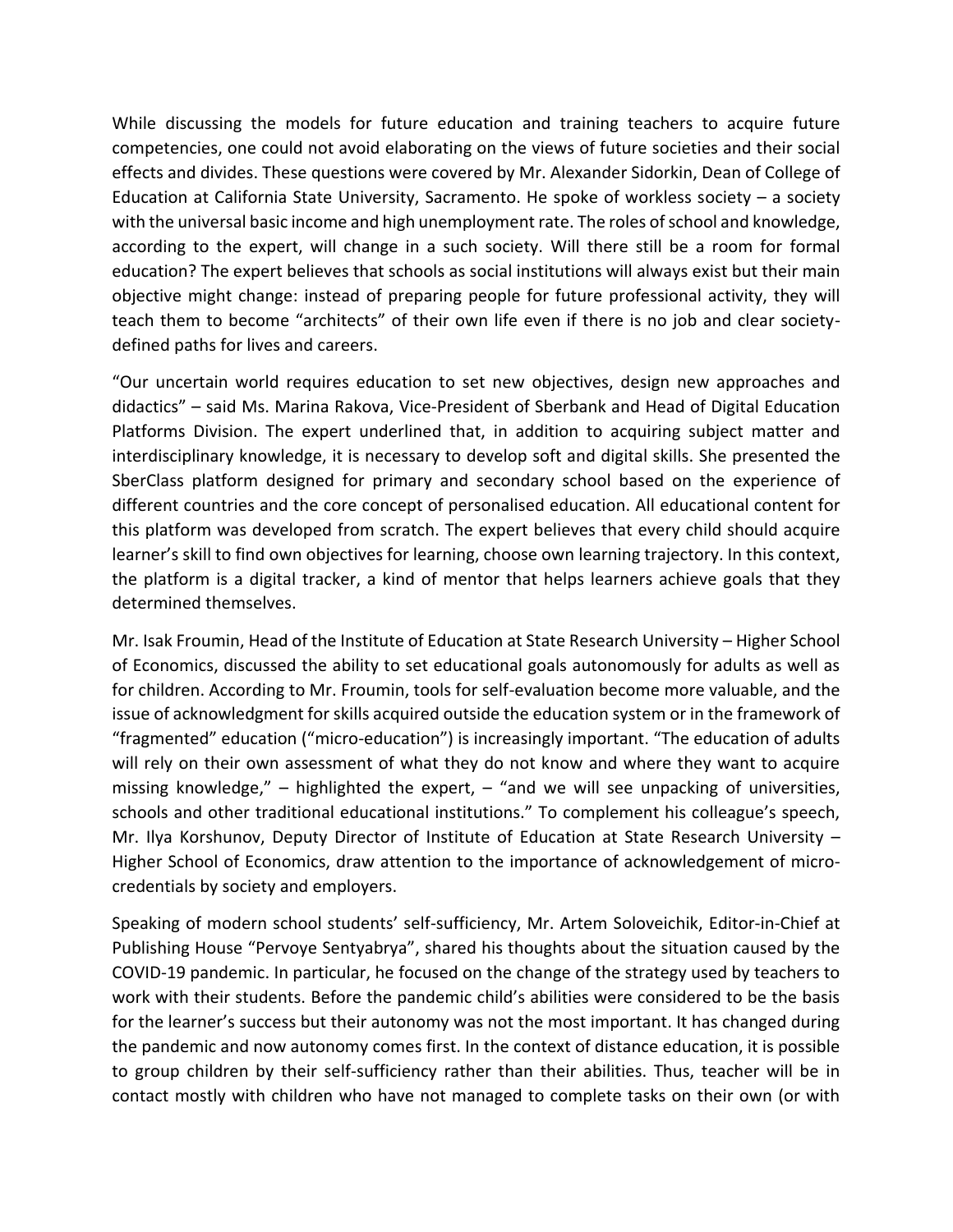While discussing the models for future education and training teachers to acquire future competencies, one could not avoid elaborating on the views of future societies and their social effects and divides. These questions were covered by Mr. Alexander Sidorkin, Dean of College of Education at California State University, Sacramento. He spoke of workless society – a society with the universal basic income and high unemployment rate. The roles of school and knowledge, according to the expert, will change in a such society. Will there still be a room for formal education? The expert believes that schools as social institutions will always exist but their main objective might change: instead of preparing people for future professional activity, they will teach them to become "architects" of their own life even if there is no job and clear societydefined paths for lives and careers.

"Our uncertain world requires education to set new objectives, design new approaches and didactics" – said Ms. Marina Rakova, Vice-President of Sberbank and Head of Digital Education Platforms Division. The expert underlined that, in addition to acquiring subject matter and interdisciplinary knowledge, it is necessary to develop soft and digital skills. She presented the SberClass platform designed for primary and secondary school based on the experience of different countries and the core concept of personalised education. All educational content for this platform was developed from scratch. The expert believes that every child should acquire learner's skill to find own objectives for learning, choose own learning trajectory. In this context, the platform is a digital tracker, a kind of mentor that helps learners achieve goals that they determined themselves.

Mr. Isak Froumin, Head of the Institute of Education at State Research University – Higher School of Economics, discussed the ability to set educational goals autonomously for adults as well as for children. According to Mr. Froumin, tools for self-evaluation become more valuable, and the issue of acknowledgment for skills acquired outside the education system or in the framework of "fragmented" education ("micro-education") is increasingly important. "The education of adults will rely on their own assessment of what they do not know and where they want to acquire missing knowledge,"  $-$  highlighted the expert,  $-$  "and we will see unpacking of universities, schools and other traditional educational institutions." To complement his colleague's speech, Mr. Ilya Korshunov, Deputy Director of Institute of Education at State Research University – Higher School of Economics, draw attention to the importance of acknowledgement of microcredentials by society and employers.

Speaking of modern school students' self-sufficiency, Mr. Artem Soloveichik, Editor-in-Chief at Publishing House "Pervoye Sentyabrya", shared his thoughts about the situation caused by the COVID-19 pandemic. In particular, he focused on the change of the strategy used by teachers to work with their students. Before the pandemic child's abilities were considered to be the basis for the learner's success but their autonomy was not the most important. It has changed during the pandemic and now autonomy comes first. In the context of distance education, it is possible to group children by their self-sufficiency rather than their abilities. Thus, teacher will be in contact mostly with children who have not managed to complete tasks on their own (or with